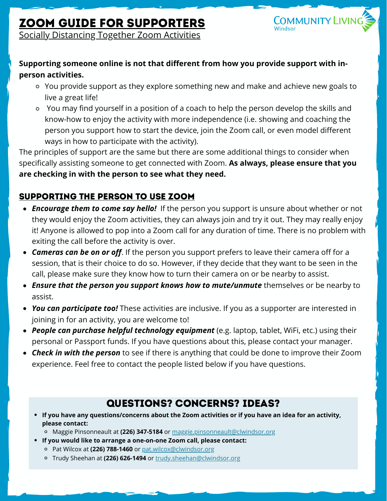# Zoom Guide for Supporters



Socially Distancing Together Zoom Activities

#### **Supporting someone online is not that different from how you provide support with inperson activities.**

- You provide support as they explore something new and make and achieve new goals to live a great life!
- You may find yourself in a position of a coach to help the person develop the skills and know-how to enjoy the activity with more independence (i.e. showing and coaching the person you support how to start the device, join the Zoom call, or even model different ways in how to participate with the activity).

The principles of support are the same but there are some additional things to consider when specifically assisting someone to get connected with Zoom. **As always, please ensure that you are checking in with the person to see what they need.**

### Supporting the Person to Use Zoom

- *Encourage them to come say hello!* If the person you support is unsure about whether or not they would enjoy the Zoom activities, they can always join and try it out. They may really enjoy it! Anyone is allowed to pop into a Zoom call for any duration of time. There is no problem with exiting the call before the activity is over.
- *Cameras can be on or off*. If the person you support prefers to leave their camera off for a session, that is their choice to do so. However, if they decide that they want to be seen in the call, please make sure they know how to turn their camera on or be nearby to assist.
- *Ensure that the person you support knows how to mute/unmute* themselves or be nearby to assist.
- *You can participate too!* These activities are inclusive. If you as a supporter are interested in joining in for an activity, you are welcome to!
- *People can purchase helpful technology equipment* (e.g. laptop, tablet, WiFi, etc.) using their personal or Passport funds. If you have questions about this, please contact your manager.
- *Check in with the person* to see if there is anything that could be done to improve their Zoom experience. Feel free to contact the people listed below if you have questions.

# Questions? Concerns? Ideas?

- If you have any questions/concerns about the Zoom activities or if you have an idea for an activity, **please contact:**
	- Maggie Pinsonneault at **(226) 347-5184** or [maggie.pinsonneault@clwindsor.org](mailto:maggie.pinsonneault@clwindsor.org)
- **If you would like to arrange a one-on-one Zoom call, please contact:**
	- Pat Wilcox at **(226) 788-1460** or [pat.wilcox@clwindsor.org](mailto:pat.wilcox@clwindsor.org)
	- Trudy Sheehan at **(226) 626-1494** or [trudy.sheehan@clwindsor.org](mailto:trudy.sheehan@clwindsor.org)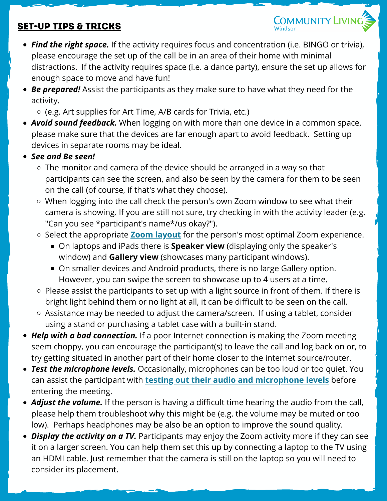## Set-Up Tips & Tricks

*Find the right space.* If the activity requires focus and concentration (i.e. BINGO or trivia), please encourage the set up of the call be in an area of their home with minimal distractions. If the activity requires space (i.e. a dance party), ensure the set up allows for enough space to move and have fun!

**COMMUNITY LIVING** 

*Be prepared!* Assist the participants as they make sure to have what they need for the activity.

 $\circ$  (e.g. Art supplies for Art Time, A/B cards for Trivia, etc.)

- *Avoid sound feedback.* When logging on with more than one device in a common space, please make sure that the devices are far enough apart to avoid feedback. Setting up devices in separate rooms may be ideal.
- *See and Be seen!*
	- $\circ$  The monitor and camera of the device should be arranged in a way so that participants can see the screen, and also be seen by the camera for them to be seen on the call (of course, if that's what they choose).
	- When logging into the call check the person's own Zoom window to see what their camera is showing. If you are still not sure, try checking in with the activity leader (e.g. "Can you see \*participant's name\*/us okay?").
	- Select the appropriate **Zoom [layout](https://support.zoom.us/hc/en-us/articles/201362323-Changing-the-video-layout-Active-Speaker-View-and-Gallery-View-#h_b80d529d-edd7-4486-8c21-bec9c9d55395)** for the person's most optimal Zoom experience.
		- On laptops and iPads there is **Speaker view** (displaying only the speaker's window) and **Gallery view** (showcases many participant windows).
		- On smaller devices and Android products, there is no large Gallery option. However, you can swipe the screen to showcase up to 4 users at a time.
	- $\circ$  Please assist the participants to set up with a light source in front of them. If there is bright light behind them or no light at all, it can be difficult to be seen on the call.
	- Assistance may be needed to adjust the camera/screen. If using a tablet, consider using a stand or purchasing a tablet case with a built-in stand.
- *Help with a bad connection.* If a poor Internet connection is making the Zoom meeting seem choppy, you can encourage the participant(s) to leave the call and log back on or, to try getting situated in another part of their home closer to the internet source/router.
- *Test the microphone levels.* Occasionally, microphones can be too loud or too quiet. You can assist the participant with **testing out their audio and [microphone](https://support.zoom.us/hc/en-us/articles/201362283-Testing-computer-or-device-audio) levels** before entering the meeting.
- *Adjust the volume.* If the person is having a difficult time hearing the audio from the call, please help them troubleshoot why this might be (e.g. the volume may be muted or too low). Perhaps headphones may be also be an option to improve the sound quality.
- *Display the activity on a TV.* Participants may enjoy the Zoom activity more if they can see it on a larger screen. You can help them set this up by connecting a laptop to the TV using an HDMI cable. Just remember that the camera is still on the laptop so you will need to consider its placement.